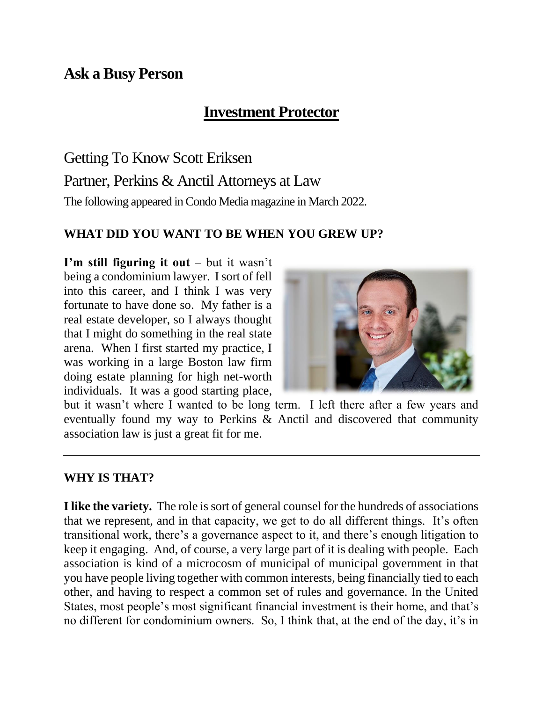# **Ask a Busy Person**

# **Investment Protector**

Getting To Know Scott Eriksen Partner, Perkins & Anctil Attorneys at Law The following appeared in Condo Media magazine in March 2022.

#### **WHAT DID YOU WANT TO BE WHEN YOU GREW UP?**

**I'm still figuring it out** – but it wasn't being a condominium lawyer. I sort of fell into this career, and I think I was very fortunate to have done so. My father is a real estate developer, so I always thought that I might do something in the real state arena. When I first started my practice, I was working in a large Boston law firm doing estate planning for high net-worth individuals. It was a good starting place,



but it wasn't where I wanted to be long term. I left there after a few years and eventually found my way to Perkins & Anctil and discovered that community association law is just a great fit for me.

#### **WHY IS THAT?**

**I like the variety.** The role is sort of general counsel for the hundreds of associations that we represent, and in that capacity, we get to do all different things. It's often transitional work, there's a governance aspect to it, and there's enough litigation to keep it engaging. And, of course, a very large part of it is dealing with people. Each association is kind of a microcosm of municipal of municipal government in that you have people living together with common interests, being financially tied to each other, and having to respect a common set of rules and governance. In the United States, most people's most significant financial investment is their home, and that's no different for condominium owners. So, I think that, at the end of the day, it's in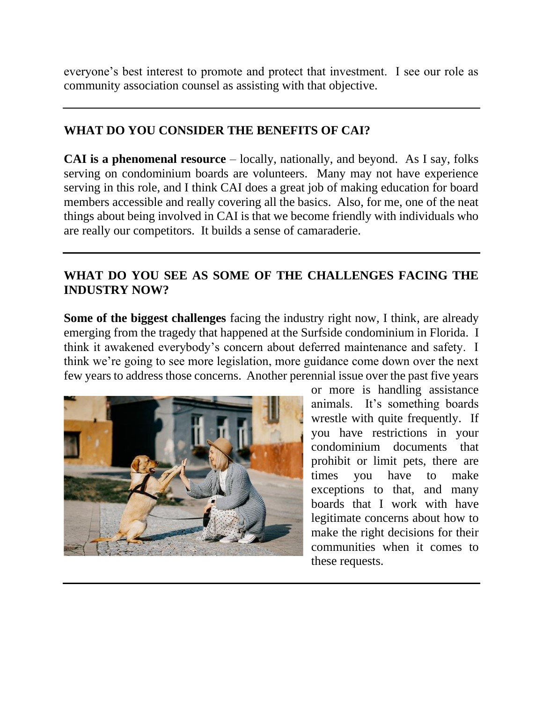everyone's best interest to promote and protect that investment. I see our role as community association counsel as assisting with that objective.

# **WHAT DO YOU CONSIDER THE BENEFITS OF CAI?**

**CAI is a phenomenal resource** – locally, nationally, and beyond. As I say, folks serving on condominium boards are volunteers. Many may not have experience serving in this role, and I think CAI does a great job of making education for board members accessible and really covering all the basics. Also, for me, one of the neat things about being involved in CAI is that we become friendly with individuals who are really our competitors. It builds a sense of camaraderie.

### **WHAT DO YOU SEE AS SOME OF THE CHALLENGES FACING THE INDUSTRY NOW?**

**Some of the biggest challenges** facing the industry right now, I think, are already emerging from the tragedy that happened at the Surfside condominium in Florida. I think it awakened everybody's concern about deferred maintenance and safety. I think we're going to see more legislation, more guidance come down over the next few years to address those concerns. Another perennial issue over the past five years



or more is handling assistance animals. It's something boards wrestle with quite frequently. If you have restrictions in your condominium documents that prohibit or limit pets, there are times you have to make exceptions to that, and many boards that I work with have legitimate concerns about how to make the right decisions for their communities when it comes to these requests.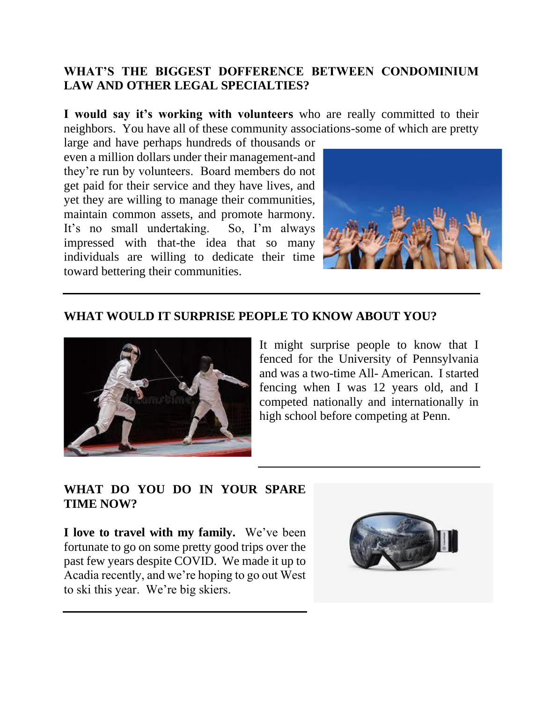### **WHAT'S THE BIGGEST DOFFERENCE BETWEEN CONDOMINIUM LAW AND OTHER LEGAL SPECIALTIES?**

**I would say it's working with volunteers** who are really committed to their neighbors. You have all of these community associations-some of which are pretty

large and have perhaps hundreds of thousands or even a million dollars under their management-and they're run by volunteers. Board members do not get paid for their service and they have lives, and yet they are willing to manage their communities, maintain common assets, and promote harmony. It's no small undertaking. So, I'm always impressed with that-the idea that so many individuals are willing to dedicate their time toward bettering their communities.



#### **WHAT WOULD IT SURPRISE PEOPLE TO KNOW ABOUT YOU?**



It might surprise people to know that I fenced for the University of Pennsylvania and was a two-time All- American. I started fencing when I was 12 years old, and I competed nationally and internationally in high school before competing at Penn.

#### **WHAT DO YOU DO IN YOUR SPARE TIME NOW?**

**I love to travel with my family.** We've been fortunate to go on some pretty good trips over the past few years despite COVID. We made it up to Acadia recently, and we're hoping to go out West to ski this year. We're big skiers.